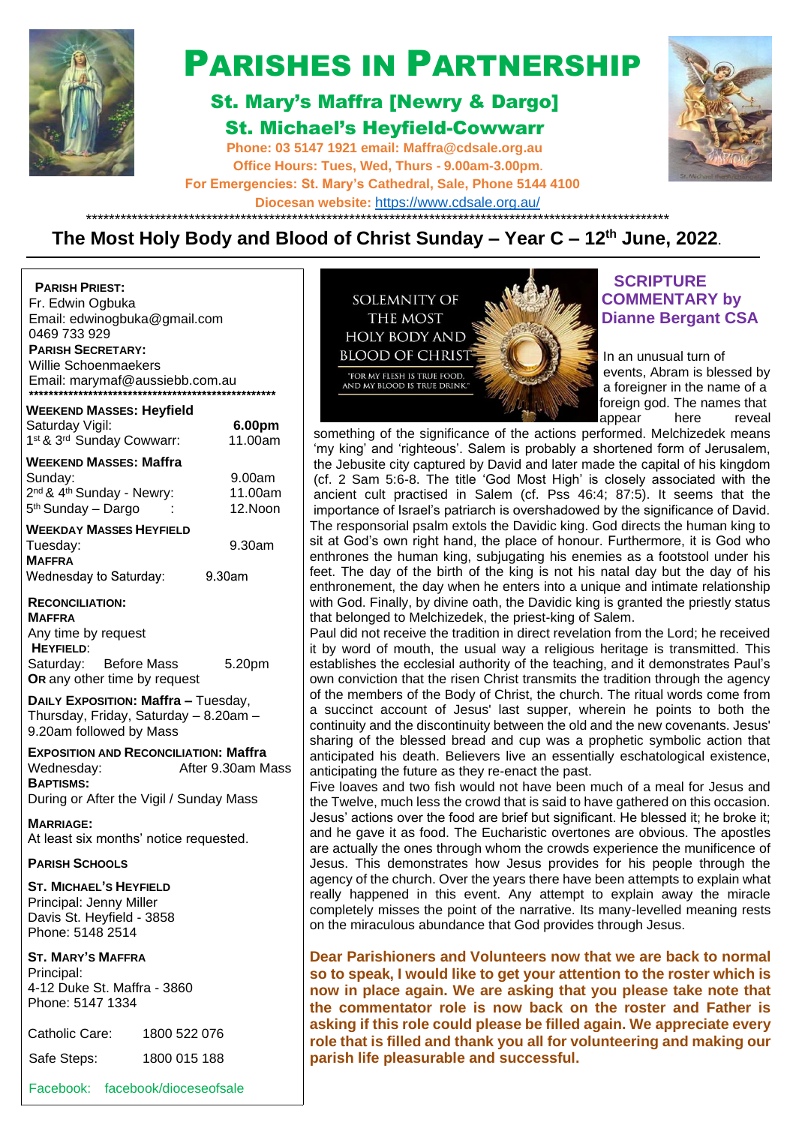

# PARISHES IN PARTNERSHIP

## St. Mary's Maffra [Newry & Dargo] St. Michael's Heyfield-Cowwarr

**Phone: 03 5147 1921 email: [Maffra@cdsale.org.au](about:blank) Office Hours: Tues, Wed, Thurs - 9.00am-3.00pm. For Emergencies: St. Mary's Cathedral, Sale, Phone 5144 4100 Diocesan website:** https:/[/www.cdsale.org.au/](about:blank)



**WEEKEND MASSES: Heyfield PARISH PRIEST:** Fr. Edwin Ogbuka Email: [edwinogbuka@gmail.com](about:blank) 0469 733 929 **PARISH SECRETARY:** Willie Schoenmaekers Email: [marymaf@aussiebb.com.au](about:blank)

| Saturday Vigil:                                   | 6.00pm  |
|---------------------------------------------------|---------|
| 1st & 3rd Sunday Cowwarr:                         | 11.00am |
| <b>WEEKEND MASSES: Maffra</b>                     |         |
| Sunday:                                           | 9.00am  |
| 2 <sup>nd</sup> & 4 <sup>th</sup> Sunday - Newry: | 11.00am |
| 5 <sup>th</sup> Sunday - Dargo                    | 12.Noon |
| <b>WEEKDAY MASSES HEYFIELD</b>                    |         |
| Tuesday:                                          | 9.30am  |
| <b>MAFFRA</b>                                     |         |
| Wednesday to Saturday:                            | 9.30am  |
| <b>RECONCILIATION:</b>                            |         |
| <b>MAFFRA</b>                                     |         |
| Any time by request                               |         |
| <b>HEYFIELD:</b>                                  |         |

Saturday: Before Mass 5.20pm **OR** any other time by request

**DAILY EXPOSITION: Maffra –** Tuesday, Thursday, Friday, Saturday – 8.20am – 9.20am followed by Mass

**EXPOSITION AND RECONCILIATION: Maffra** Wednesday: <br>
After 9.30am Mass **BAPTISMS:** During or After the Vigil / Sunday Mass

**MARRIAGE:** At least six months' notice requested.

### **PARISH SCHOOLS**

**ST. MICHAEL'S HEYFIELD** Principal: Jenny Miller Davis St. Heyfield - 3858 Phone: 5148 2514

### **ST. MARY'S MAFFRA**

Principal: 4-12 Duke St. Maffra - 3860 Phone: 5147 1334

| Catholic Care: | 1800 522 076 |
|----------------|--------------|
| Safe Steps:    | 1800 015 188 |

Facebook: facebook/dioceseofsale



### **SCRIPTURE COMMENTARY by Dianne Bergant CSA**

 a foreigner in the name of a foreign god. The names that

something of the significance of the actions performed. Melchizedek means 'my king' and 'righteous'. Salem is probably a shortened form of Jerusalem, the Jebusite city captured by David and later made the capital of his kingdom (cf. 2 Sam 5:6-8. The title 'God Most High' is closely associated with the ancient cult practised in Salem (cf. Pss 46:4; 87:5). It seems that the importance of Israel's patriarch is overshadowed by the significance of David. The responsorial psalm extols the Davidic king. God directs the human king to sit at God's own right hand, the place of honour. Furthermore, it is God who enthrones the human king, subjugating his enemies as a footstool under his feet. The day of the birth of the king is not his natal day but the day of his enthronement, the day when he enters into a unique and intimate relationship with God. Finally, by divine oath, the Davidic king is granted the priestly status that belonged to Melchizedek, the priest-king of Salem.

Paul did not receive the tradition in direct revelation from the Lord; he received it by word of mouth, the usual way a religious heritage is transmitted. This establishes the ecclesial authority of the teaching, and it demonstrates Paul's own conviction that the risen Christ transmits the tradition through the agency of the members of the Body of Christ, the church. The ritual words come from a succinct account of Jesus' last supper, wherein he points to both the continuity and the discontinuity between the old and the new covenants. Jesus' sharing of the blessed bread and cup was a prophetic symbolic action that anticipated his death. Believers live an essentially eschatological existence, anticipating the future as they re-enact the past.

Five loaves and two fish would not have been much of a meal for Jesus and the Twelve, much less the crowd that is said to have gathered on this occasion. Jesus' actions over the food are brief but significant. He blessed it; he broke it; and he gave it as food. The Eucharistic overtones are obvious. The apostles are actually the ones through whom the crowds experience the munificence of Jesus. This demonstrates how Jesus provides for his people through the agency of the church. Over the years there have been attempts to explain what really happened in this event. Any attempt to explain away the miracle completely misses the point of the narrative. Its many-levelled meaning rests on the miraculous abundance that God provides through Jesus.

**Dear Parishioners and Volunteers now that we are back to normal so to speak, I would like to get your attention to the roster which is now in place again. We are asking that you please take note that the commentator role is now back on the roster and Father is asking if this role could please be filled again. We appreciate every role that is filled and thank you all for volunteering and making our parish life pleasurable and successful.**

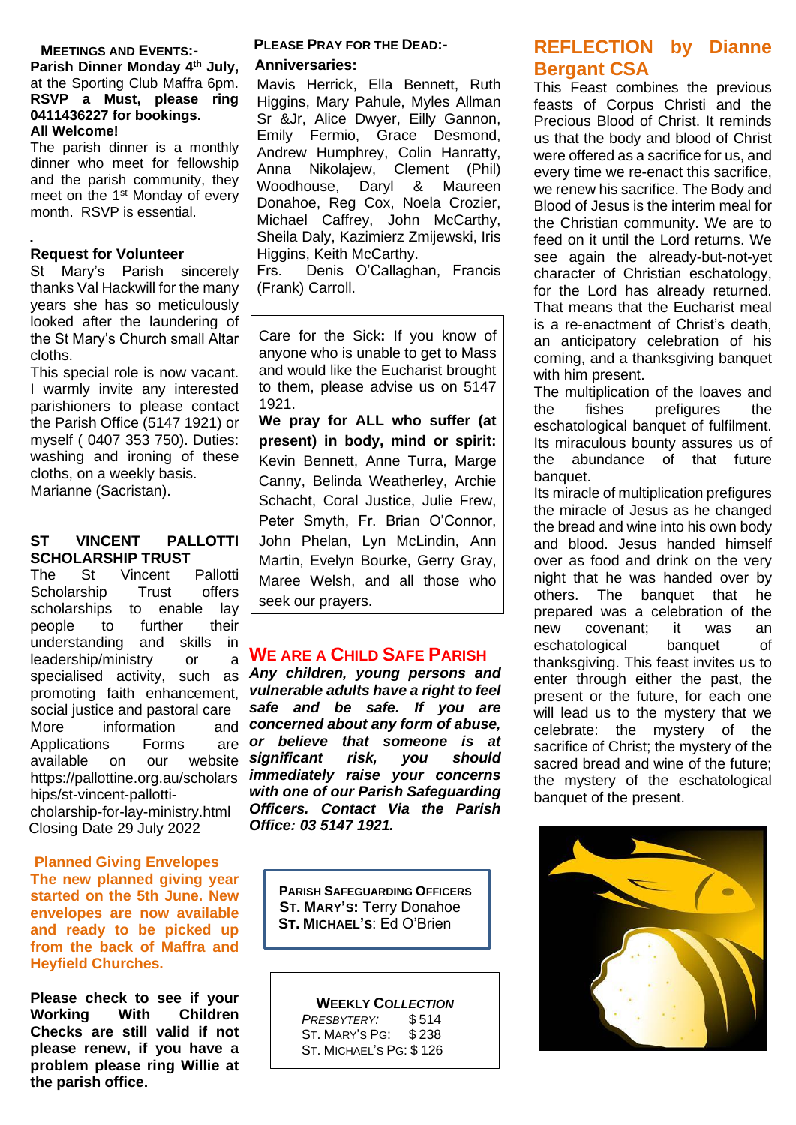### **MEETINGS AND EVENTS:-**

**Parish Dinner Monday 4 th July,**  at the Sporting Club Maffra 6pm. **RSVP a Must, please ring 0411436227 for bookings. All Welcome!**

The parish dinner is a monthly dinner who meet for fellowship and the parish community, they meet on the 1<sup>st</sup> Monday of every month. RSVP is essential.

#### **. Request for Volunteer**

St Mary's Parish sincerely thanks Val Hackwill for the many years she has so meticulously looked after the laundering of the St Mary's Church small Altar cloths.

This special role is now vacant. I warmly invite any interested parishioners to please contact the Parish Office (5147 1921) or myself ( 0407 353 750). Duties: washing and ironing of these cloths, on a weekly basis. Marianne (Sacristan).

#### **ST VINCENT PALLOTTI SCHOLARSHIP TRUST**

The St Vincent Pallotti Scholarship Trust offers scholarships to enable lay people to further their understanding and skills in leadership/ministry or a specialised activity, such as promoting faith enhancement, social justice and pastoral care More information Applications Forms are available on our [https://pallottine.org.au/scholars](https://pallottine.org.au/scholarships/st-vincent-pallotti-) [hips/st-vincent-pallotti](https://pallottine.org.au/scholarships/st-vincent-pallotti-)cholarship-for-lay-ministry.html Closing Date 29 July 2022

### **Planned Giving Envelopes The new planned giving year started on the 5th June. New envelopes are now available and ready to be picked up from the back of Maffra and Heyfield Churches.**

**Please check to see if your Working With Children Checks are still valid if not please renew, if you have a problem please ring Willie at the parish office.**

### **PLEASE PRAY FOR THE DEAD:-**

### **Anniversaries:**

Mavis Herrick, Ella Bennett, Ruth Higgins, Mary Pahule, Myles Allman Sr &Jr, Alice Dwyer, Eilly Gannon, Emily Fermio, Grace Desmond, Andrew Humphrey, Colin Hanratty, Anna Nikolajew, Clement (Phil) Woodhouse, Daryl & Maureen Donahoe, Reg Cox, Noela Crozier, Michael Caffrey, John McCarthy, Sheila Daly, Kazimierz Zmijewski, Iris Higgins, Keith McCarthy.

Frs. Denis O'Callaghan, Francis (Frank) Carroll.

Care for the Sick**:** If you know of anyone who is unable to get to Mass and would like the Eucharist brought to them, please advise us on 5147 1921.

**We pray for ALL who suffer (at present) in body, mind or spirit:**  Kevin Bennett, Anne Turra, Marge Canny, Belinda Weatherley, Archie Schacht, Coral Justice, Julie Frew, Peter Smyth, Fr. Brian O'Connor, John Phelan, Lyn McLindin, Ann Martin, Evelyn Bourke, Gerry Gray, Maree Welsh, and all those who seek our prayers.

### **WE ARE A CHILD SAFE PARISH**

*Any children, young persons and vulnerable adults have a right to feel safe and be safe. If you are concerned about any form of abuse, or believe that someone is at significant risk, you should immediately raise your concerns with one of our Parish Safeguarding Officers. Contact Via the Parish Office: 03 5147 1921.*

> **PARISH SAFEGUARDING OFFICERS ST. MARY'S:** Terry Donahoe  **ST. MICHAEL'S**: Ed O'Brien

> > **WEEKLY CO***LLECTION PRESBYTERY:* \$ 514 ST. MARY'S PG: \$ 238 ST. MICHAEL'S PG: \$ 126

### **REFLECTION by Dianne Bergant CSA**

This Feast combines the previous feasts of Corpus Christi and the Precious Blood of Christ. It reminds us that the body and blood of Christ were offered as a sacrifice for us, and every time we re-enact this sacrifice, we renew his sacrifice. The Body and Blood of Jesus is the interim meal for the Christian community. We are to feed on it until the Lord returns. We see again the already-but-not-yet character of Christian eschatology, for the Lord has already returned. That means that the Eucharist meal is a re-enactment of Christ's death, an anticipatory celebration of his coming, and a thanksgiving banquet with him present.

The multiplication of the loaves and the fishes prefigures the eschatological banquet of fulfilment. Its miraculous bounty assures us of the abundance of that future banquet.

Its miracle of multiplication prefigures the miracle of Jesus as he changed the bread and wine into his own body and blood. Jesus handed himself over as food and drink on the very night that he was handed over by others. The banquet that he prepared was a celebration of the new covenant; it was an eschatological banquet of thanksgiving. This feast invites us to enter through either the past, the present or the future, for each one will lead us to the mystery that we celebrate: the mystery of the sacrifice of Christ; the mystery of the sacred bread and wine of the future; the mystery of the eschatological banquet of the present.

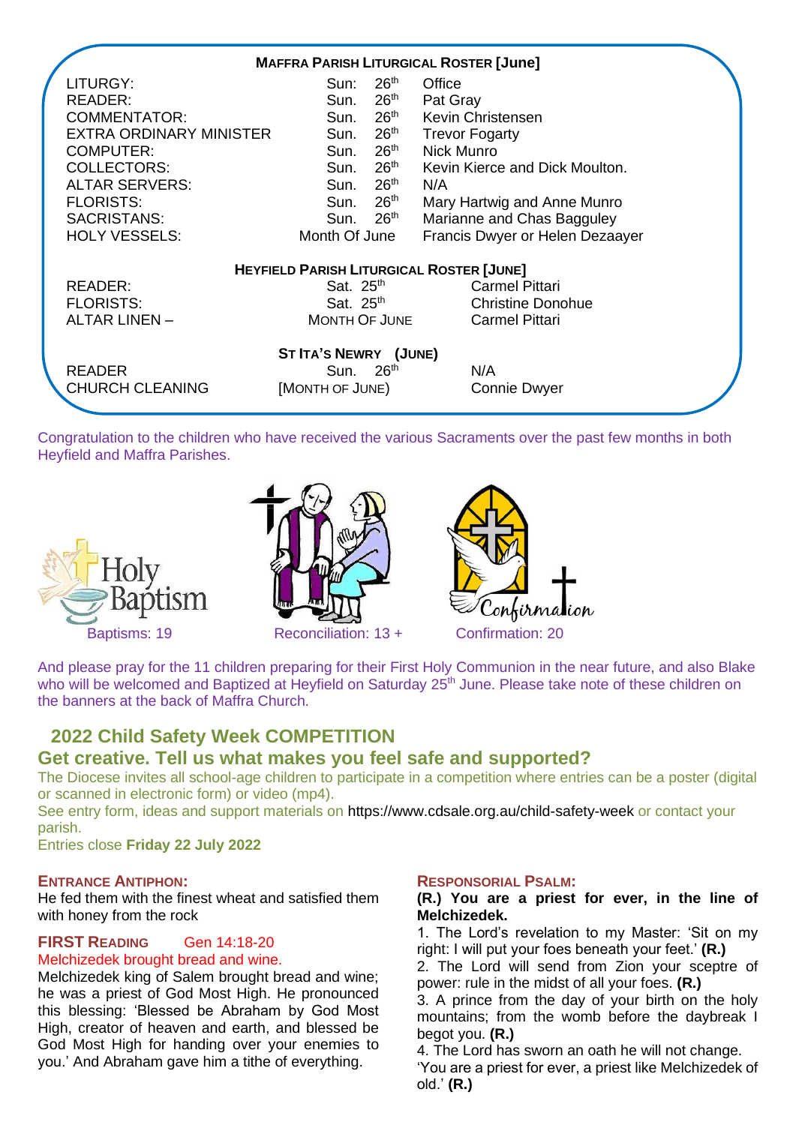|                         | <b>MAFFRA PARISH LITURGICAL ROSTER [June]</b>   |                                 |
|-------------------------|-------------------------------------------------|---------------------------------|
| LITURGY:                | $26^{\sf th}$<br>Sun:                           | Office                          |
| <b>READER:</b>          | $26^{\sf th}$<br>Sun.                           | Pat Gray                        |
| <b>COMMENTATOR:</b>     | 26 <sup>th</sup><br>Sun.                        | Kevin Christensen               |
| EXTRA ORDINARY MINISTER | $26^{\sf th}$<br>Sun.                           | <b>Trevor Fogarty</b>           |
| <b>COMPUTER:</b>        | 26 <sup>th</sup><br>Sun.                        | Nick Munro                      |
| <b>COLLECTORS:</b>      | $26^{\sf th}$<br>Sun.                           | Kevin Kierce and Dick Moulton.  |
| <b>ALTAR SERVERS:</b>   | $26^{\sf th}$<br>Sun.                           | N/A                             |
| <b>FLORISTS:</b>        | $26^{\sf th}$<br>Sun.                           | Mary Hartwig and Anne Munro     |
| SACRISTANS:             | Sun. 26 <sup>th</sup>                           | Marianne and Chas Bagguley      |
| <b>HOLY VESSELS:</b>    | Month Of June                                   | Francis Dwyer or Helen Dezaayer |
|                         | <b>HEYFIELD PARISH LITURGICAL ROSTER [JUNE]</b> |                                 |
| READER:                 | Sat. $25th$                                     | <b>Carmel Pittari</b>           |
| <b>FLORISTS:</b>        | Sat. $25th$                                     | <b>Christine Donohue</b>        |
| <b>ALTAR LINEN -</b>    | <b>MONTH OF JUNE</b>                            | <b>Carmel Pittari</b>           |
|                         | ST ITA'S NEWRY (JUNE)                           |                                 |
| <b>READER</b>           | Sun. 26 <sup>th</sup>                           | N/A                             |
| <b>CHURCH CLEANING</b>  | [MONTH OF JUNE)                                 | <b>Connie Dwyer</b>             |

Congratulation to the children who have received the various Sacraments over the past few months in both Heyfield and Maffra Parishes.







And please pray for the 11 children preparing for their First Holy Communion in the near future, and also Blake who will be welcomed and Baptized at Heyfield on Saturday 25<sup>th</sup> June. Please take note of these children on the banners at the back of Maffra Church.

### **2022 Child Safety Week COMPETITION Get creative. Tell us what makes you feel safe and supported?**

The Diocese invites all school-age children to participate in a competition where entries can be a poster (digital or scanned in electronic form) or video (mp4).

See entry form, ideas and support materials on<https://www.cdsale.org.au/child-safety-week> or contact your parish.

Entries close **Friday 22 July 2022**

### **ENTRANCE ANTIPHON:**

He fed them with the finest wheat and satisfied them with honey from the rock

### **FIRST READING** [Gen 14:18-20](https://liturgyhelp.com/ritual/lectionary/LectionaryList%7Cgen#gen014) Melchizedek brought bread and wine.

Melchizedek king of Salem brought bread and wine; he was a priest of God Most High. He pronounced this blessing: 'Blessed be Abraham by God Most High, creator of heaven and earth, and blessed be God Most High for handing over your enemies to you.' And Abraham gave him a tithe of everything.

### **RESPONSORIAL PSALM:**

### **(R.) You are a priest for ever, in the line of Melchizedek.**

1. The Lord's revelation to my Master: 'Sit on my right: I will put your foes beneath your feet.' **(R.)**

2. The Lord will send from Zion your sceptre of power: rule in the midst of all your foes. **(R.)**

3. A prince from the day of your birth on the holy mountains; from the womb before the daybreak I begot you. **(R.)**

4. The Lord has sworn an oath he will not change. 'You are a priest for ever, a priest like Melchizedek of old.' **(R.)**